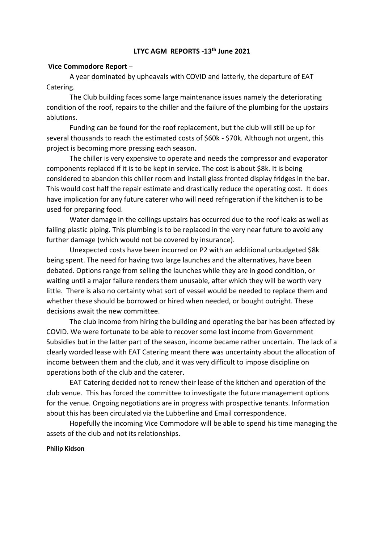# **LTYC AGM REPORTS -13th June 2021**

# **Vice Commodore Report** –

A year dominated by upheavals with COVID and latterly, the departure of EAT Catering.

The Club building faces some large maintenance issues namely the deteriorating condition of the roof, repairs to the chiller and the failure of the plumbing for the upstairs ablutions.

Funding can be found for the roof replacement, but the club will still be up for several thousands to reach the estimated costs of \$60k - \$70k. Although not urgent, this project is becoming more pressing each season.

The chiller is very expensive to operate and needs the compressor and evaporator components replaced if it is to be kept in service. The cost is about \$8k. It is being considered to abandon this chiller room and install glass fronted display fridges in the bar. This would cost half the repair estimate and drastically reduce the operating cost. It does have implication for any future caterer who will need refrigeration if the kitchen is to be used for preparing food.

Water damage in the ceilings upstairs has occurred due to the roof leaks as well as failing plastic piping. This plumbing is to be replaced in the very near future to avoid any further damage (which would not be covered by insurance).

Unexpected costs have been incurred on P2 with an additional unbudgeted \$8k being spent. The need for having two large launches and the alternatives, have been debated. Options range from selling the launches while they are in good condition, or waiting until a major failure renders them unusable, after which they will be worth very little. There is also no certainty what sort of vessel would be needed to replace them and whether these should be borrowed or hired when needed, or bought outright. These decisions await the new committee.

The club income from hiring the building and operating the bar has been affected by COVID. We were fortunate to be able to recover some lost income from Government Subsidies but in the latter part of the season, income became rather uncertain. The lack of a clearly worded lease with EAT Catering meant there was uncertainty about the allocation of income between them and the club, and it was very difficult to impose discipline on operations both of the club and the caterer.

EAT Catering decided not to renew their lease of the kitchen and operation of the club venue. This has forced the committee to investigate the future management options for the venue. Ongoing negotiations are in progress with prospective tenants. Information about this has been circulated via the Lubberline and Email correspondence.

Hopefully the incoming Vice Commodore will be able to spend his time managing the assets of the club and not its relationships.

#### **Philip Kidson**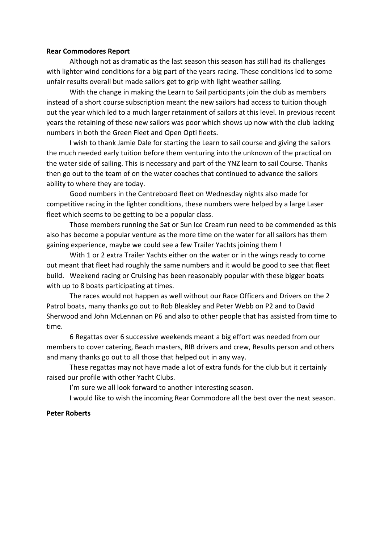### **Rear Commodores Report**

Although not as dramatic as the last season this season has still had its challenges with lighter wind conditions for a big part of the years racing. These conditions led to some unfair results overall but made sailors get to grip with light weather sailing.

With the change in making the Learn to Sail participants join the club as members instead of a short course subscription meant the new sailors had access to tuition though out the year which led to a much larger retainment of sailors at this level. In previous recent years the retaining of these new sailors was poor which shows up now with the club lacking numbers in both the Green Fleet and Open Opti fleets.

I wish to thank Jamie Dale for starting the Learn to sail course and giving the sailors the much needed early tuition before them venturing into the unknown of the practical on the water side of sailing. This is necessary and part of the YNZ learn to sail Course. Thanks then go out to the team of on the water coaches that continued to advance the sailors ability to where they are today.

Good numbers in the Centreboard fleet on Wednesday nights also made for competitive racing in the lighter conditions, these numbers were helped by a large Laser fleet which seems to be getting to be a popular class.

Those members running the Sat or Sun Ice Cream run need to be commended as this also has become a popular venture as the more time on the water for all sailors has them gaining experience, maybe we could see a few Trailer Yachts joining them !

With 1 or 2 extra Trailer Yachts either on the water or in the wings ready to come out meant that fleet had roughly the same numbers and it would be good to see that fleet build. Weekend racing or Cruising has been reasonably popular with these bigger boats with up to 8 boats participating at times.

The races would not happen as well without our Race Officers and Drivers on the 2 Patrol boats, many thanks go out to Rob Bleakley and Peter Webb on P2 and to David Sherwood and John McLennan on P6 and also to other people that has assisted from time to time.

6 Regattas over 6 successive weekends meant a big effort was needed from our members to cover catering, Beach masters, RIB drivers and crew, Results person and others and many thanks go out to all those that helped out in any way.

These regattas may not have made a lot of extra funds for the club but it certainly raised our profile with other Yacht Clubs.

I'm sure we all look forward to another interesting season.

I would like to wish the incoming Rear Commodore all the best over the next season.

#### **Peter Roberts**